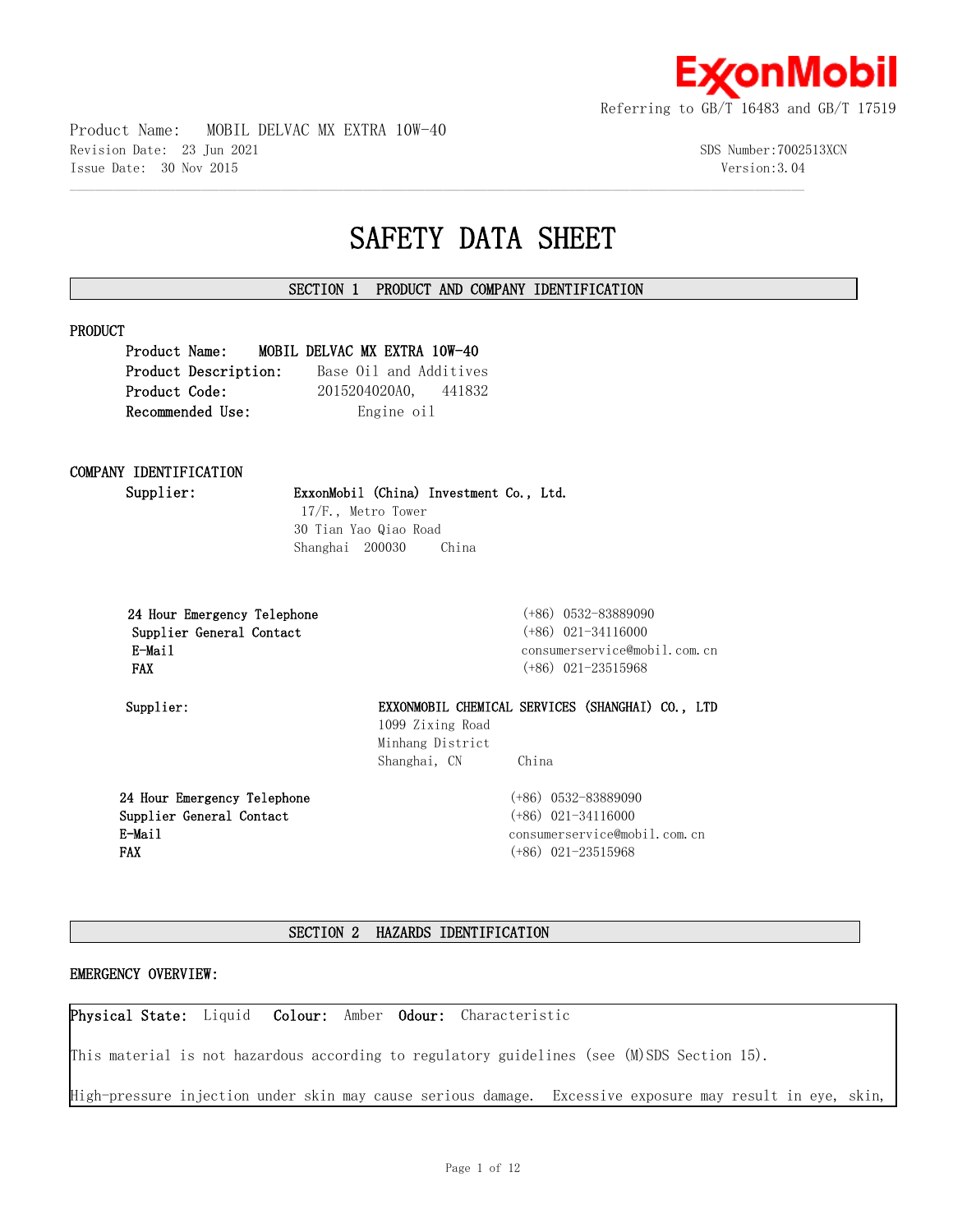

Product Name: MOBIL DELVAC MX EXTRA 10W-40 Revision Date: 23 Jun 2021 SDS Number:7002513XCN Issue Date: 30 Nov 2015 Version:3.04

# **SAFETY DATA SHEET**

## **SECTION 1 PRODUCT AND COMPANY IDENTIFICATION**

 $\mathcal{L} = \{ \mathcal{L} = \{ \mathcal{L} = \{ \mathcal{L} = \{ \mathcal{L} = \{ \mathcal{L} = \{ \mathcal{L} = \{ \mathcal{L} = \{ \mathcal{L} = \{ \mathcal{L} = \{ \mathcal{L} = \{ \mathcal{L} = \{ \mathcal{L} = \{ \mathcal{L} = \{ \mathcal{L} = \{ \mathcal{L} = \{ \mathcal{L} = \{ \mathcal{L} = \{ \mathcal{L} = \{ \mathcal{L} = \{ \mathcal{L} = \{ \mathcal{L} = \{ \mathcal{L} = \{ \mathcal{L} = \{ \mathcal{$ 

#### **PRODUCT**

**Product Name: MOBIL DELVAC MX EXTRA 10W-40 Product Description:** Base Oil and Additives **Product Code:** 2015204020A0, 441832 **Recommended Use:** Engine oil

## **COMPANY IDENTIFICATION**

**Supplier: ExxonMobil (China) Investment Co., Ltd.**

 17/F., Metro Tower 30 Tian Yao Qiao Road Shanghai 200030 China

 **24 Hour Emergency Telephone** (+86) 0532-83889090 **Supplier General Contact** (+86) 021-34116000  **FAX** (+86) 021-23515968

 **E-Mail** consumerservice@mobil.com.cn

**Supplier: EXXONMOBIL CHEMICAL SERVICES (SHANGHAI) CO., LTD** 1099 Zixing Road Minhang District Shanghai, CN China

**24 Hour Emergency Telephone Supplier General Contact E-Mail FAX**

(+86) 0532-83889090 (+86) 021-34116000 consumerservice@mobil.com.cn (+86) 021-23515968

## **SECTION 2 HAZARDS IDENTIFICATION**

#### **EMERGENCY OVERVIEW:**

**Physical State:** Liquid **Colour:** Amber **Odour:** Characteristic

This material is not hazardous according to regulatory guidelines (see (M)SDS Section 15).

High-pressure injection under skin may cause serious damage. Excessive exposure may result in eye, skin,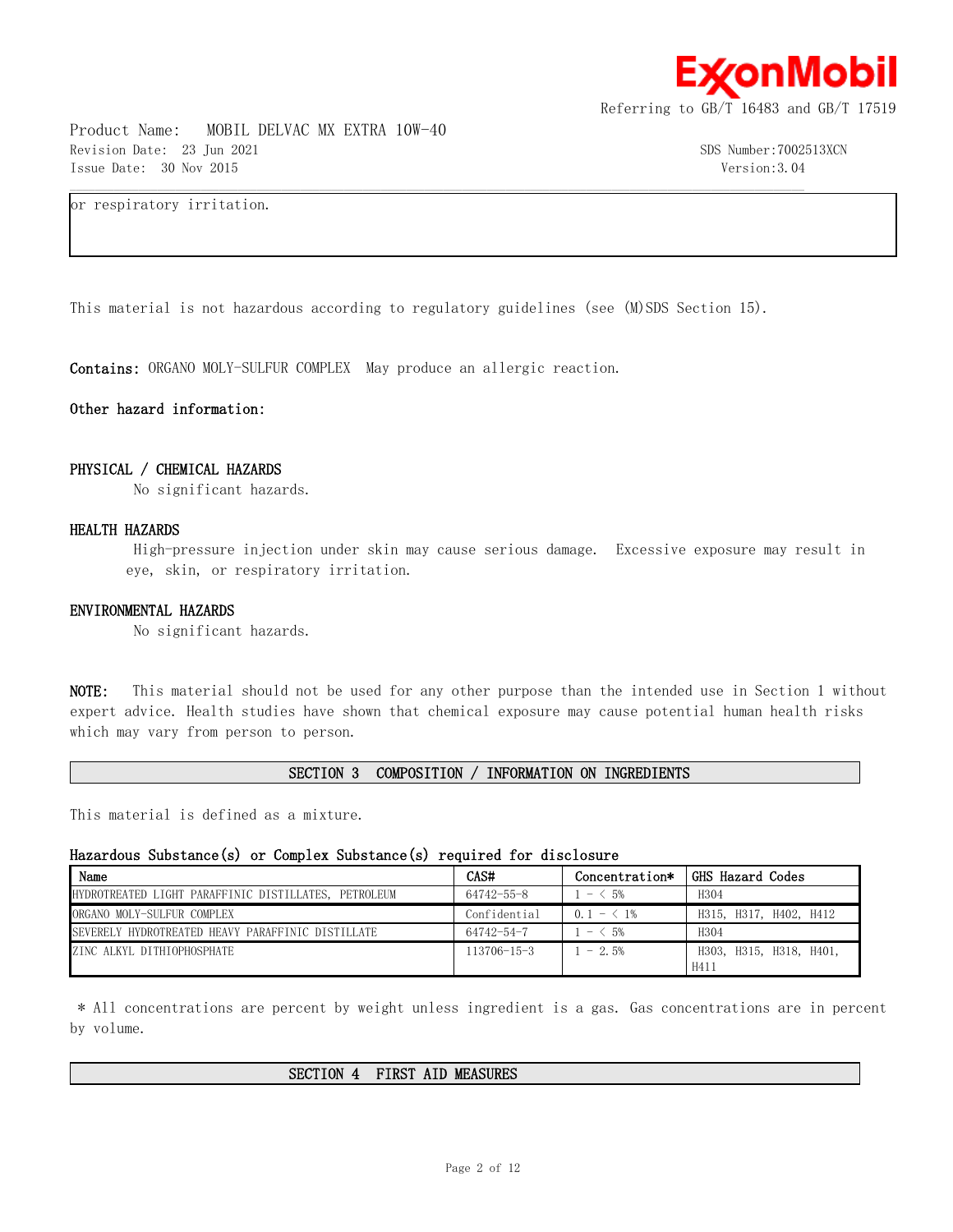

Product Name: MOBIL DELVAC MX EXTRA 10W-40 Revision Date: 23 Jun 2021 SDS Number:7002513XCN Issue Date: 30 Nov 2015 Version:3.04

or respiratory irritation.

This material is not hazardous according to regulatory guidelines (see (M)SDS Section 15).

 $\mathcal{L} = \{ \mathcal{L} = \{ \mathcal{L} = \{ \mathcal{L} = \{ \mathcal{L} = \{ \mathcal{L} = \{ \mathcal{L} = \{ \mathcal{L} = \{ \mathcal{L} = \{ \mathcal{L} = \{ \mathcal{L} = \{ \mathcal{L} = \{ \mathcal{L} = \{ \mathcal{L} = \{ \mathcal{L} = \{ \mathcal{L} = \{ \mathcal{L} = \{ \mathcal{L} = \{ \mathcal{L} = \{ \mathcal{L} = \{ \mathcal{L} = \{ \mathcal{L} = \{ \mathcal{L} = \{ \mathcal{L} = \{ \mathcal{$ 

**Contains:** ORGANO MOLY-SULFUR COMPLEX May produce an allergic reaction.

#### **Other hazard information:**

#### **PHYSICAL / CHEMICAL HAZARDS**

No significant hazards.

#### **HEALTH HAZARDS**

 High-pressure injection under skin may cause serious damage. Excessive exposure may result in eye, skin, or respiratory irritation.

#### **ENVIRONMENTAL HAZARDS**

No significant hazards.

**NOTE:** This material should not be used for any other purpose than the intended use in Section 1 without expert advice. Health studies have shown that chemical exposure may cause potential human health risks which may vary from person to person.

#### **SECTION 3 COMPOSITION / INFORMATION ON INGREDIENTS**

This material is defined as a mixture.

#### **Hazardous Substance(s) or Complex Substance(s) required for disclosure**

| Name                                                 | CAS#              | Concentration*            | GHS Hazard Codes        |
|------------------------------------------------------|-------------------|---------------------------|-------------------------|
| HYDROTREATED LIGHT PARAFFINIC DISTILLATES, PETROLEUM | 64742-55-8        | ← 5%<br>$\qquad \qquad -$ | H304                    |
| ORGANO MOLY-SULFUR COMPLEX                           | Confidential      | $0.1 - 1\%$               | H315, H317, H402, H412  |
| SEVERELY HYDROTREATED HEAVY PARAFFINIC DISTILLATE    | 64742-54-7        | $- 5\%$                   | H <sub>304</sub>        |
| ZINC ALKYL DITHIOPHOSPHATE                           | $113706 - 15 - 3$ | $-2.5%$                   | H303, H315, H318, H401, |
|                                                      |                   |                           | H411                    |

 \* All concentrations are percent by weight unless ingredient is a gas. Gas concentrations are in percent by volume.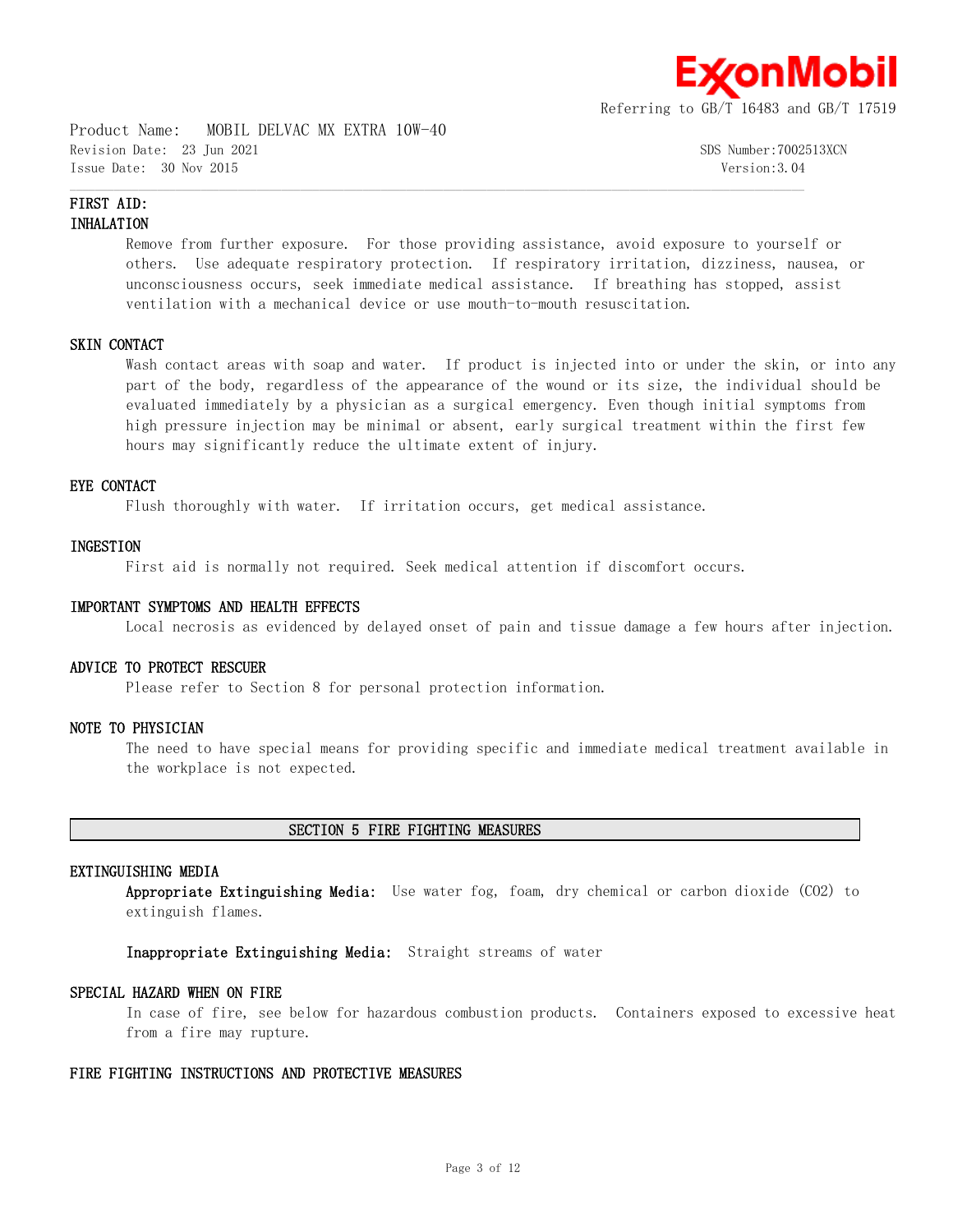

Product Name: MOBIL DELVAC MX EXTRA 10W-40 Revision Date: 23 Jun 2021 SDS Number:7002513XCN Issue Date: 30 Nov 2015 Version:3.04

## **FIRST AID: INHALATION**

Remove from further exposure. For those providing assistance, avoid exposure to yourself or others. Use adequate respiratory protection. If respiratory irritation, dizziness, nausea, or unconsciousness occurs, seek immediate medical assistance. If breathing has stopped, assist ventilation with a mechanical device or use mouth-to-mouth resuscitation.

 $\mathcal{L} = \{ \mathcal{L} = \{ \mathcal{L} = \{ \mathcal{L} = \{ \mathcal{L} = \{ \mathcal{L} = \{ \mathcal{L} = \{ \mathcal{L} = \{ \mathcal{L} = \{ \mathcal{L} = \{ \mathcal{L} = \{ \mathcal{L} = \{ \mathcal{L} = \{ \mathcal{L} = \{ \mathcal{L} = \{ \mathcal{L} = \{ \mathcal{L} = \{ \mathcal{L} = \{ \mathcal{L} = \{ \mathcal{L} = \{ \mathcal{L} = \{ \mathcal{L} = \{ \mathcal{L} = \{ \mathcal{L} = \{ \mathcal{$ 

## **SKIN CONTACT**

Wash contact areas with soap and water. If product is injected into or under the skin, or into any part of the body, regardless of the appearance of the wound or its size, the individual should be evaluated immediately by a physician as a surgical emergency. Even though initial symptoms from high pressure injection may be minimal or absent, early surgical treatment within the first few hours may significantly reduce the ultimate extent of injury.

#### **EYE CONTACT**

Flush thoroughly with water. If irritation occurs, get medical assistance.

#### **INGESTION**

First aid is normally not required. Seek medical attention if discomfort occurs.

#### **IMPORTANT SYMPTOMS AND HEALTH EFFECTS**

Local necrosis as evidenced by delayed onset of pain and tissue damage a few hours after injection.

## **ADVICE TO PROTECT RESCUER**

Please refer to Section 8 for personal protection information.

## **NOTE TO PHYSICIAN**

The need to have special means for providing specific and immediate medical treatment available in the workplace is not expected.

#### **SECTION 5 FIRE FIGHTING MEASURES**

#### **EXTINGUISHING MEDIA**

**Appropriate Extinguishing Media:** Use water fog, foam, dry chemical or carbon dioxide (CO2) to extinguish flames.

**Inappropriate Extinguishing Media:** Straight streams of water

#### **SPECIAL HAZARD WHEN ON FIRE**

In case of fire, see below for hazardous combustion products. Containers exposed to excessive heat from a fire may rupture.

#### **FIRE FIGHTING INSTRUCTIONS AND PROTECTIVE MEASURES**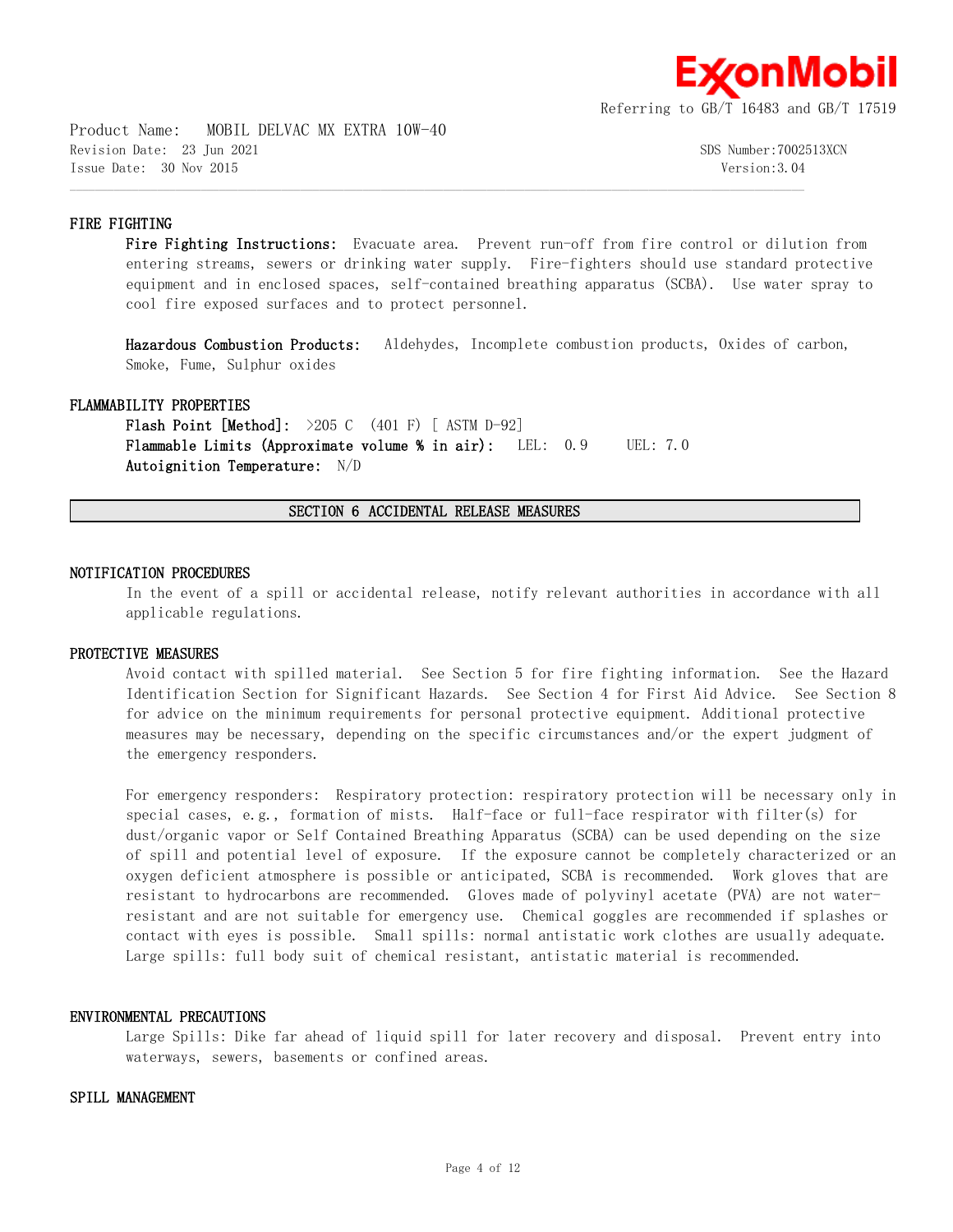

Product Name: MOBIL DELVAC MX EXTRA 10W-40 Revision Date: 23 Jun 2021 SDS Number:7002513XCN Issue Date: 30 Nov 2015 Version:3.04

## **FIRE FIGHTING**

Fire Fighting Instructions: Evacuate area. Prevent run-off from fire control or dilution from entering streams, sewers or drinking water supply. Fire-fighters should use standard protective equipment and in enclosed spaces, self-contained breathing apparatus (SCBA). Use water spray to cool fire exposed surfaces and to protect personnel.

**Hazardous Combustion Products:** Aldehydes, Incomplete combustion products, Oxides of carbon, Smoke, Fume, Sulphur oxides

#### **FLAMMABILITY PROPERTIES**

**Flash Point [Method]:** >205 C (401 F) [ ASTM D-92] **Flammable Limits (Approximate volume % in air):** LEL: 0.9 UEL: 7.0 **Autoignition Temperature:** N/D

**SECTION 6 ACCIDENTAL RELEASE MEASURES**

 $\mathcal{L} = \{ \mathcal{L} = \{ \mathcal{L} = \{ \mathcal{L} = \{ \mathcal{L} = \{ \mathcal{L} = \{ \mathcal{L} = \{ \mathcal{L} = \{ \mathcal{L} = \{ \mathcal{L} = \{ \mathcal{L} = \{ \mathcal{L} = \{ \mathcal{L} = \{ \mathcal{L} = \{ \mathcal{L} = \{ \mathcal{L} = \{ \mathcal{L} = \{ \mathcal{L} = \{ \mathcal{L} = \{ \mathcal{L} = \{ \mathcal{L} = \{ \mathcal{L} = \{ \mathcal{L} = \{ \mathcal{L} = \{ \mathcal{$ 

#### **NOTIFICATION PROCEDURES**

In the event of a spill or accidental release, notify relevant authorities in accordance with all applicable regulations.

#### **PROTECTIVE MEASURES**

Avoid contact with spilled material. See Section 5 for fire fighting information. See the Hazard Identification Section for Significant Hazards. See Section 4 for First Aid Advice. See Section 8 for advice on the minimum requirements for personal protective equipment. Additional protective measures may be necessary, depending on the specific circumstances and/or the expert judgment of the emergency responders.

For emergency responders: Respiratory protection: respiratory protection will be necessary only in special cases, e.g., formation of mists. Half-face or full-face respirator with filter(s) for dust/organic vapor or Self Contained Breathing Apparatus (SCBA) can be used depending on the size of spill and potential level of exposure. If the exposure cannot be completely characterized or an oxygen deficient atmosphere is possible or anticipated, SCBA is recommended. Work gloves that are resistant to hydrocarbons are recommended. Gloves made of polyvinyl acetate (PVA) are not waterresistant and are not suitable for emergency use. Chemical goggles are recommended if splashes or contact with eyes is possible. Small spills: normal antistatic work clothes are usually adequate. Large spills: full body suit of chemical resistant, antistatic material is recommended.

#### **ENVIRONMENTAL PRECAUTIONS**

Large Spills: Dike far ahead of liquid spill for later recovery and disposal. Prevent entry into waterways, sewers, basements or confined areas.

#### **SPILL MANAGEMENT**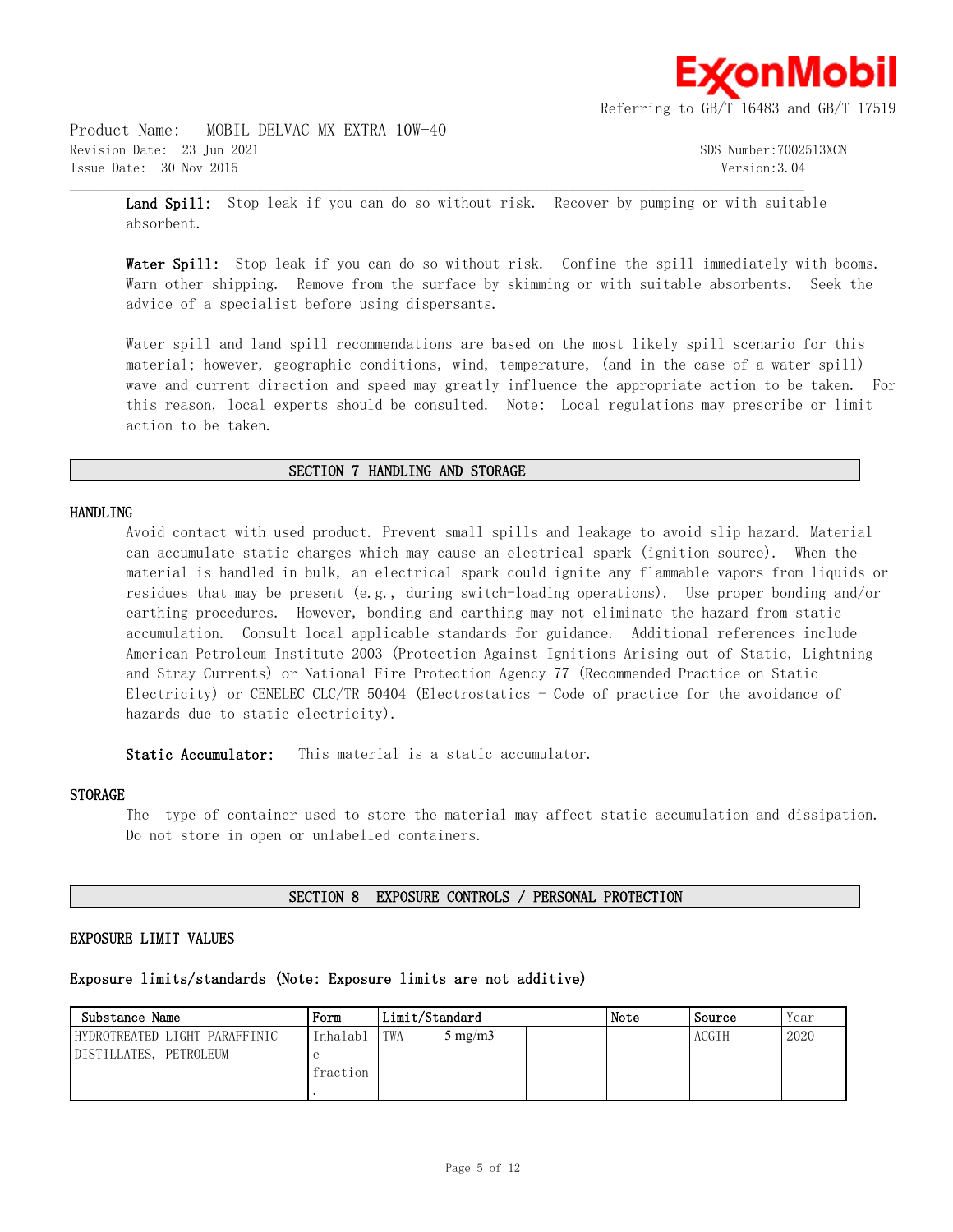

Product Name: MOBIL DELVAC MX EXTRA 10W-40 Revision Date: 23 Jun 2021 SDS Number:7002513XCN Issue Date: 30 Nov 2015 Version:3.04

**Land Spill:** Stop leak if you can do so without risk. Recover by pumping or with suitable absorbent.

 $\mathcal{L} = \{ \mathcal{L} = \{ \mathcal{L} = \{ \mathcal{L} = \{ \mathcal{L} = \{ \mathcal{L} = \{ \mathcal{L} = \{ \mathcal{L} = \{ \mathcal{L} = \{ \mathcal{L} = \{ \mathcal{L} = \{ \mathcal{L} = \{ \mathcal{L} = \{ \mathcal{L} = \{ \mathcal{L} = \{ \mathcal{L} = \{ \mathcal{L} = \{ \mathcal{L} = \{ \mathcal{L} = \{ \mathcal{L} = \{ \mathcal{L} = \{ \mathcal{L} = \{ \mathcal{L} = \{ \mathcal{L} = \{ \mathcal{$ 

Water Spill: Stop leak if you can do so without risk. Confine the spill immediately with booms. Warn other shipping. Remove from the surface by skimming or with suitable absorbents. Seek the advice of a specialist before using dispersants.

Water spill and land spill recommendations are based on the most likely spill scenario for this material; however, geographic conditions, wind, temperature, (and in the case of a water spill) wave and current direction and speed may greatly influence the appropriate action to be taken. For this reason, local experts should be consulted. Note: Local regulations may prescribe or limit action to be taken.

#### **SECTION 7 HANDLING AND STORAGE**

#### **HANDLING**

Avoid contact with used product. Prevent small spills and leakage to avoid slip hazard. Material can accumulate static charges which may cause an electrical spark (ignition source). When the material is handled in bulk, an electrical spark could ignite any flammable vapors from liquids or residues that may be present (e.g., during switch-loading operations). Use proper bonding and/or earthing procedures. However, bonding and earthing may not eliminate the hazard from static accumulation. Consult local applicable standards for guidance. Additional references include American Petroleum Institute 2003 (Protection Against Ignitions Arising out of Static, Lightning and Stray Currents) or National Fire Protection Agency 77 (Recommended Practice on Static Electricity) or CENELEC CLC/TR 50404 (Electrostatics - Code of practice for the avoidance of hazards due to static electricity).

**Static Accumulator:** This material is a static accumulator.

#### **STORAGE**

The type of container used to store the material may affect static accumulation and dissipation. Do not store in open or unlabelled containers.

#### **SECTION 8 EXPOSURE CONTROLS / PERSONAL PROTECTION**

## **EXPOSURE LIMIT VALUES**

## **Exposure limits/standards (Note: Exposure limits are not additive)**

| Substance Name                | Form     | Limit/Standard |                     |  | Note | Source       | Year |
|-------------------------------|----------|----------------|---------------------|--|------|--------------|------|
| HYDROTREATED LIGHT PARAFFINIC | Inhalabl | TWA            | $\frac{1}{2}$ mg/m3 |  |      | <b>ACGIH</b> | 2020 |
| DISTILLATES, PETROLEUM        |          |                |                     |  |      |              |      |
|                               | fraction |                |                     |  |      |              |      |
|                               |          |                |                     |  |      |              |      |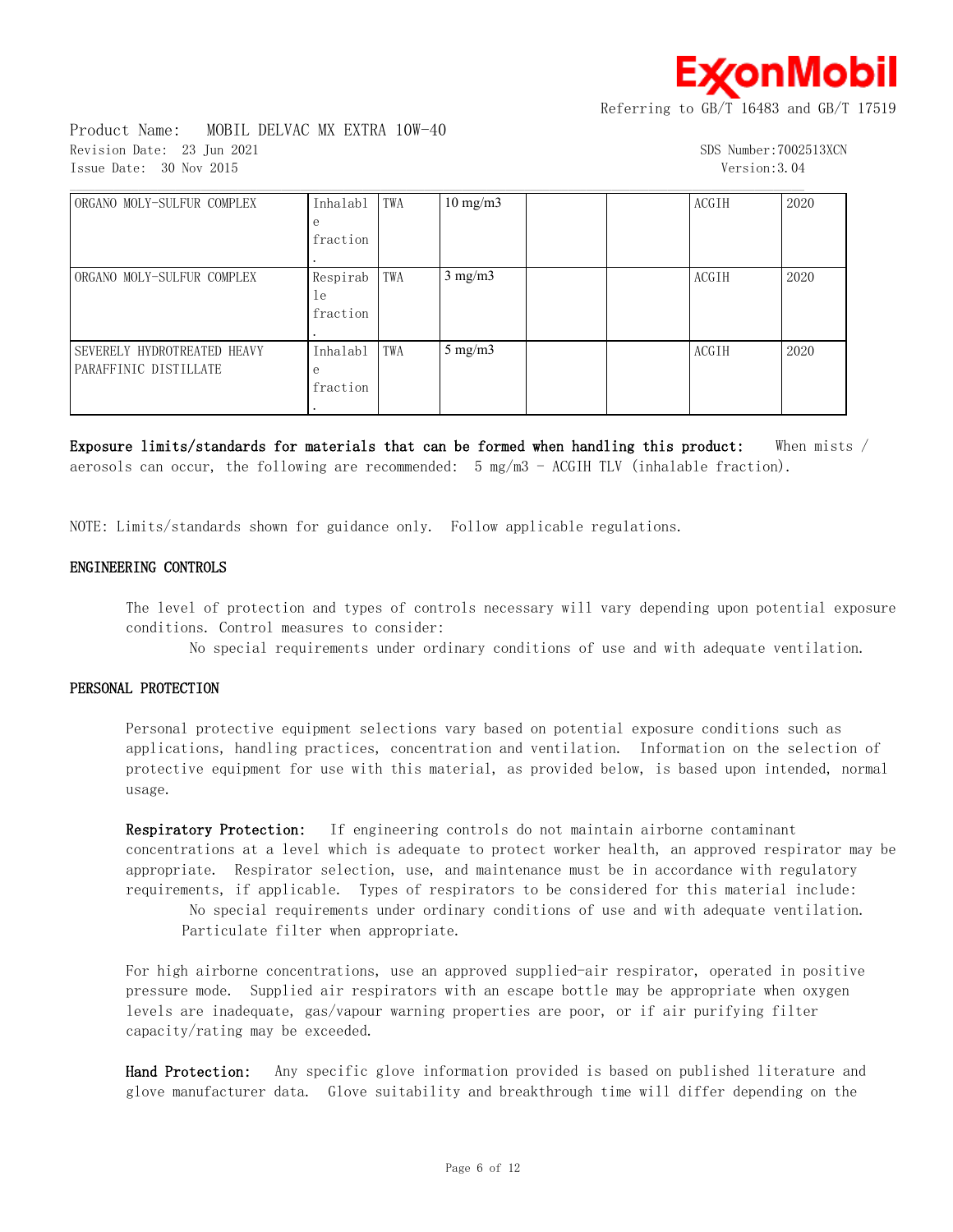≰onMobil

Referring to GB/T 16483 and GB/T 17519

Product Name: MOBIL DELVAC MX EXTRA 10W-40 Revision Date: 23 Jun 2021 SDS Number:7002513XCN Issue Date: 30 Nov 2015 Version:3.04

| ORGANO MOLY-SULFUR COMPLEX  | Inhalabl | TWA | $10 \text{ mg/m}$ |  | ACGIH        | 2020 |
|-----------------------------|----------|-----|-------------------|--|--------------|------|
|                             | е        |     |                   |  |              |      |
|                             | fraction |     |                   |  |              |      |
|                             |          |     |                   |  |              |      |
| ORGANO MOLY-SULFUR COMPLEX  | Respirab | TWA | $3$ mg/m $3$      |  | ACGIH        | 2020 |
|                             | le       |     |                   |  |              |      |
|                             | fraction |     |                   |  |              |      |
|                             |          |     |                   |  |              |      |
| SEVERELY HYDROTREATED HEAVY | Inhalabl | TWA | $5$ mg/m $3$      |  | <b>ACGTH</b> | 2020 |
| PARAFFINIC DISTILLATE       | е        |     |                   |  |              |      |
|                             | fraction |     |                   |  |              |      |
|                             |          |     |                   |  |              |      |

**Exposure limits/standards for materials that can be formed when handling this product:** When mists / aerosols can occur, the following are recommended:  $5 \text{ mg/m}$  - ACGIH TLV (inhalable fraction).

NOTE: Limits/standards shown for guidance only. Follow applicable regulations.

#### **ENGINEERING CONTROLS**

The level of protection and types of controls necessary will vary depending upon potential exposure conditions. Control measures to consider:

No special requirements under ordinary conditions of use and with adequate ventilation.

#### **PERSONAL PROTECTION**

Personal protective equipment selections vary based on potential exposure conditions such as applications, handling practices, concentration and ventilation. Information on the selection of protective equipment for use with this material, as provided below, is based upon intended, normal usage.

**Respiratory Protection:** If engineering controls do not maintain airborne contaminant concentrations at a level which is adequate to protect worker health, an approved respirator may be appropriate. Respirator selection, use, and maintenance must be in accordance with regulatory requirements, if applicable. Types of respirators to be considered for this material include:

 No special requirements under ordinary conditions of use and with adequate ventilation. Particulate filter when appropriate.

For high airborne concentrations, use an approved supplied-air respirator, operated in positive pressure mode. Supplied air respirators with an escape bottle may be appropriate when oxygen levels are inadequate, gas/vapour warning properties are poor, or if air purifying filter capacity/rating may be exceeded.

**Hand Protection:** Any specific glove information provided is based on published literature and glove manufacturer data. Glove suitability and breakthrough time will differ depending on the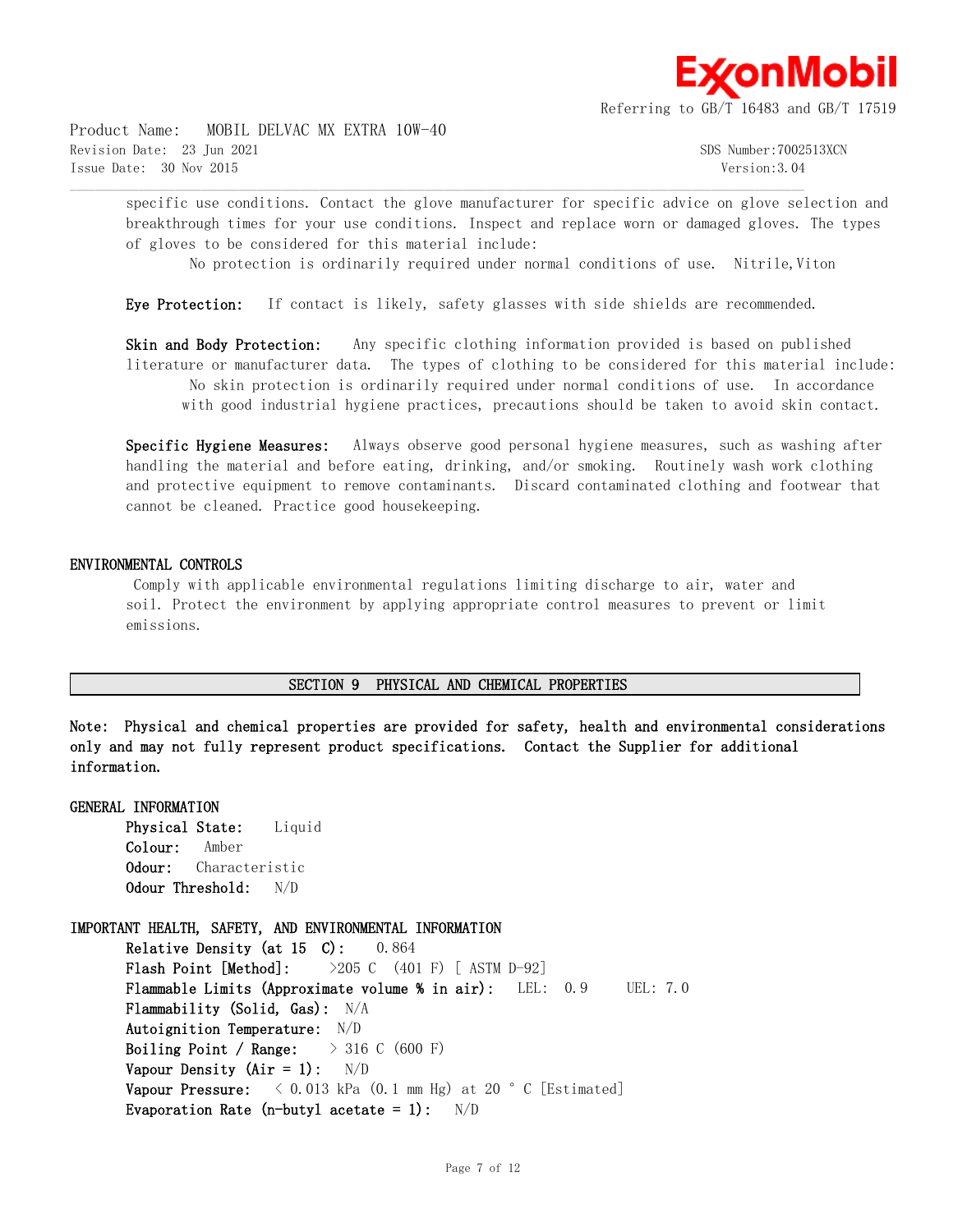≰onMobil

Referring to GB/T 16483 and GB/T 17519

Product Name: MOBIL DELVAC MX EXTRA 10W-40 Revision Date: 23 Jun 2021 SDS Number:7002513XCN Issue Date: 30 Nov 2015 Version:3.04

specific use conditions. Contact the glove manufacturer for specific advice on glove selection and breakthrough times for your use conditions. Inspect and replace worn or damaged gloves. The types of gloves to be considered for this material include:

No protection is ordinarily required under normal conditions of use. Nitrile,Viton

**Eye Protection:** If contact is likely, safety glasses with side shields are recommended.

 $\mathcal{L} = \{ \mathcal{L} = \{ \mathcal{L} = \{ \mathcal{L} = \{ \mathcal{L} = \{ \mathcal{L} = \{ \mathcal{L} = \{ \mathcal{L} = \{ \mathcal{L} = \{ \mathcal{L} = \{ \mathcal{L} = \{ \mathcal{L} = \{ \mathcal{L} = \{ \mathcal{L} = \{ \mathcal{L} = \{ \mathcal{L} = \{ \mathcal{L} = \{ \mathcal{L} = \{ \mathcal{L} = \{ \mathcal{L} = \{ \mathcal{L} = \{ \mathcal{L} = \{ \mathcal{L} = \{ \mathcal{L} = \{ \mathcal{$ 

**Skin and Body Protection:** Any specific clothing information provided is based on published literature or manufacturer data. The types of clothing to be considered for this material include: No skin protection is ordinarily required under normal conditions of use. In accordance with good industrial hygiene practices, precautions should be taken to avoid skin contact.

**Specific Hygiene Measures:** Always observe good personal hygiene measures, such as washing after handling the material and before eating, drinking, and/or smoking. Routinely wash work clothing and protective equipment to remove contaminants. Discard contaminated clothing and footwear that cannot be cleaned. Practice good housekeeping.

#### **ENVIRONMENTAL CONTROLS**

 Comply with applicable environmental regulations limiting discharge to air, water and soil. Protect the environment by applying appropriate control measures to prevent or limit emissions.

#### **SECTION 9 PHYSICAL AND CHEMICAL PROPERTIES**

**Note: Physical and chemical properties are provided for safety, health and environmental considerations only and may not fully represent product specifications. Contact the Supplier for additional information.**

#### **GENERAL INFORMATION**

**Physical State:** Liquid **Colour:** Amber **Odour:** Characteristic **Odour Threshold:** N/D

**IMPORTANT HEALTH, SAFETY, AND ENVIRONMENTAL INFORMATION Relative Density (at 15 C):** 0.864 **Flash Point [Method]:** >205 C (401 F) [ ASTM D-92] **Flammable Limits (Approximate volume % in air):** LEL: 0.9 UEL: 7.0 **Flammability (Solid, Gas):** N/A **Autoignition Temperature:** N/D

**Boiling Point / Range:** > 316 C (600 F) **Vapour Density (Air = 1):** N/D Vapour Pressure:  $\langle 0.013 \text{ kPa} (0.1 \text{ mm Hg}) \text{ at } 20 \text{ °C} [\text{Estimated}]$ **Evaporation Rate (n-butyl acetate = 1):** N/D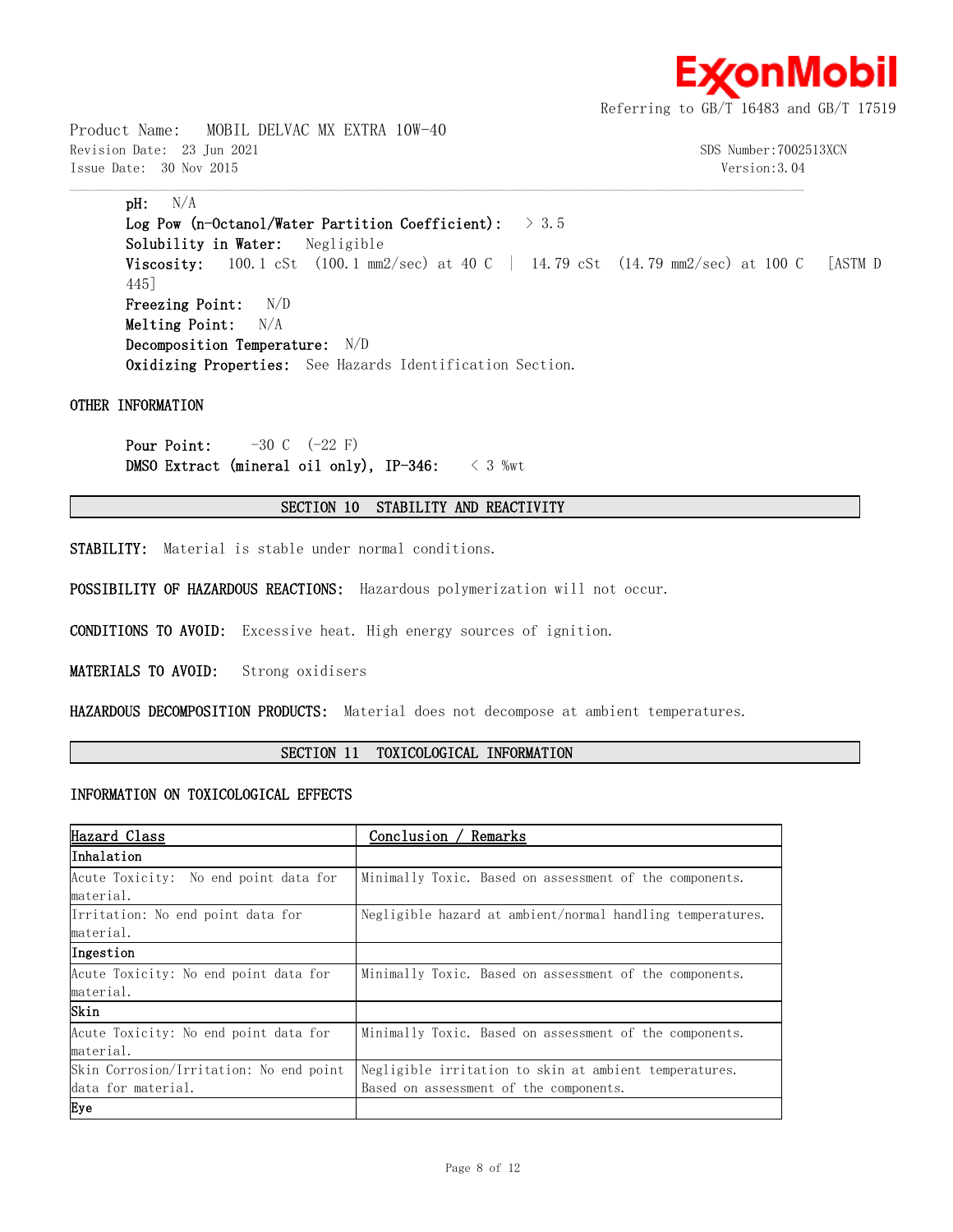

Product Name: MOBIL DELVAC MX EXTRA 10W-40 Revision Date: 23 Jun 2021 SDS Number:7002513XCN Issue Date: 30 Nov 2015 Version:3.04

## **pH:** N/A

**Log Pow (n-Octanol/Water Partition Coefficient):** > 3.5 **Solubility in Water:** Negligible **Viscosity:** 100.1 cSt (100.1 mm2/sec) at 40 C | 14.79 cSt (14.79 mm2/sec) at 100 C [ASTM D 445] **Freezing Point:** N/D **Melting Point:** N/A **Decomposition Temperature:** N/D **Oxidizing Properties:** See Hazards Identification Section.

#### **OTHER INFORMATION**

**Pour Point:**  $-30 \text{ C}$   $(-22 \text{ F})$ **DMSO Extract (mineral oil only), IP-346:** < 3 %wt

## **SECTION 10 STABILITY AND REACTIVITY**

 $\mathcal{L} = \{ \mathcal{L} = \{ \mathcal{L} = \{ \mathcal{L} = \{ \mathcal{L} = \{ \mathcal{L} = \{ \mathcal{L} = \{ \mathcal{L} = \{ \mathcal{L} = \{ \mathcal{L} = \{ \mathcal{L} = \{ \mathcal{L} = \{ \mathcal{L} = \{ \mathcal{L} = \{ \mathcal{L} = \{ \mathcal{L} = \{ \mathcal{L} = \{ \mathcal{L} = \{ \mathcal{L} = \{ \mathcal{L} = \{ \mathcal{L} = \{ \mathcal{L} = \{ \mathcal{L} = \{ \mathcal{L} = \{ \mathcal{$ 

**STABILITY:** Material is stable under normal conditions.

**POSSIBILITY OF HAZARDOUS REACTIONS:** Hazardous polymerization will not occur.

**CONDITIONS TO AVOID:** Excessive heat. High energy sources of ignition.

**MATERIALS TO AVOID:** Strong oxidisers

**HAZARDOUS DECOMPOSITION PRODUCTS:** Material does not decompose at ambient temperatures.

## **SECTION 11 TOXICOLOGICAL INFORMATION**

#### **INFORMATION ON TOXICOLOGICAL EFFECTS**

| Hazard Class                            | Conclusion / Remarks                                       |  |  |  |
|-----------------------------------------|------------------------------------------------------------|--|--|--|
| Inhalation                              |                                                            |  |  |  |
| Acute Toxicity: No end point data for   | Minimally Toxic. Based on assessment of the components.    |  |  |  |
| material.                               |                                                            |  |  |  |
| Irritation: No end point data for       | Negligible hazard at ambient/normal handling temperatures. |  |  |  |
| material.                               |                                                            |  |  |  |
| Ingestion                               |                                                            |  |  |  |
| Acute Toxicity: No end point data for   | Minimally Toxic. Based on assessment of the components.    |  |  |  |
| material.                               |                                                            |  |  |  |
| Skin                                    |                                                            |  |  |  |
| Acute Toxicity: No end point data for   | Minimally Toxic. Based on assessment of the components.    |  |  |  |
| material.                               |                                                            |  |  |  |
| Skin Corrosion/Irritation: No end point | Negligible irritation to skin at ambient temperatures.     |  |  |  |
| data for material.                      | Based on assessment of the components.                     |  |  |  |
| Eye                                     |                                                            |  |  |  |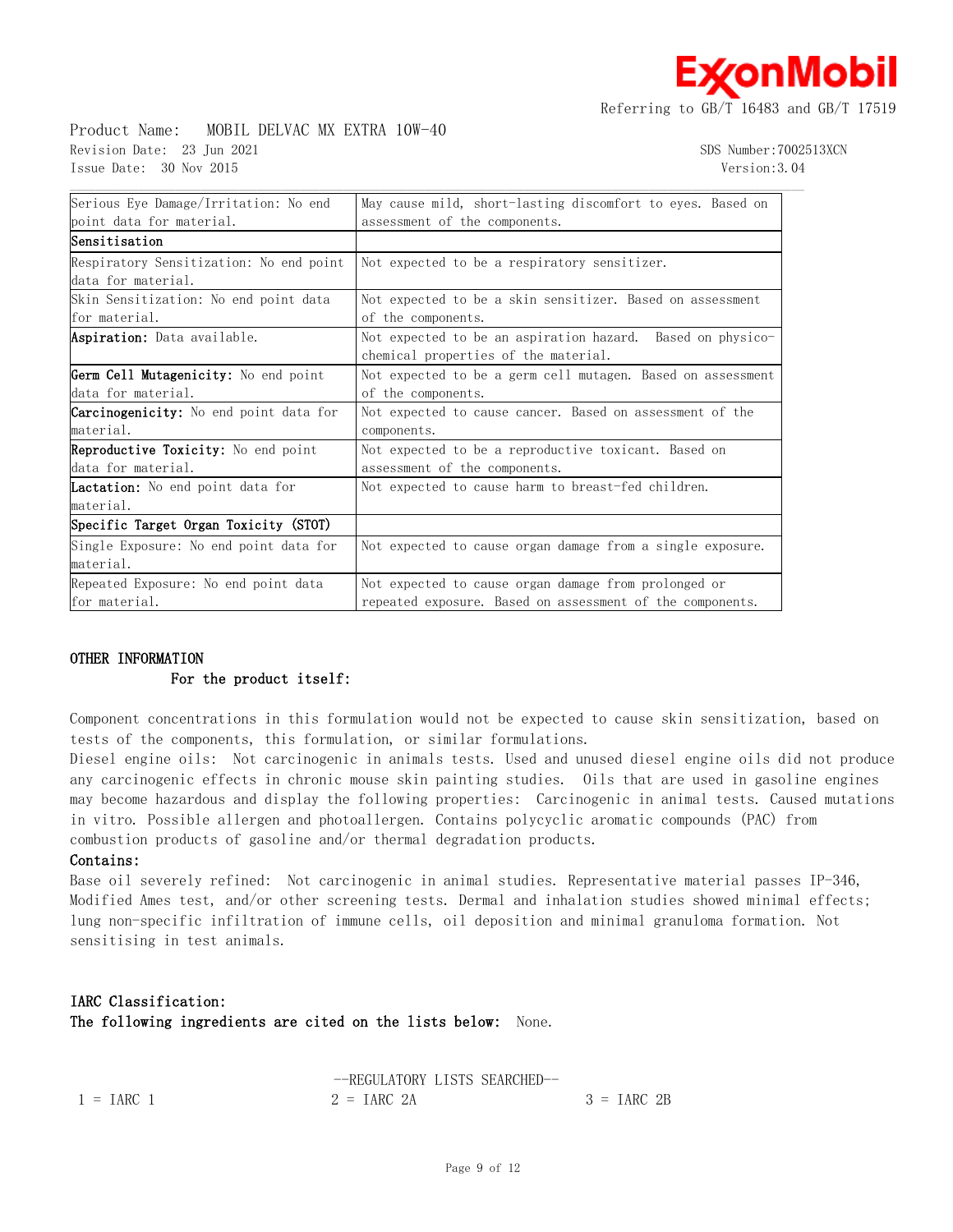## Product Name: MOBIL DELVAC MX EXTRA 10W-40 Revision Date: 23 Jun 2021 SDS Number:7002513XCN Issue Date: 30 Nov 2015 Version:3.04

**x**onMobil

| Serious Eye Damage/Irritation: No end         | May cause mild, short-lasting discomfort to eyes. Based on    |  |  |  |  |
|-----------------------------------------------|---------------------------------------------------------------|--|--|--|--|
| point data for material.                      | assessment of the components.                                 |  |  |  |  |
| Sensitisation                                 |                                                               |  |  |  |  |
| Respiratory Sensitization: No end point       | Not expected to be a respiratory sensitizer.                  |  |  |  |  |
| data for material.                            |                                                               |  |  |  |  |
| Skin Sensitization: No end point data         | Not expected to be a skin sensitizer. Based on assessment     |  |  |  |  |
| for material.                                 | of the components.                                            |  |  |  |  |
| <b>Aspiration:</b> Data available.            | Not expected to be an aspiration hazard.<br>Based on physico- |  |  |  |  |
|                                               | chemical properties of the material.                          |  |  |  |  |
| Germ Cell Mutagenicity: No end point          | Not expected to be a germ cell mutagen. Based on assessment   |  |  |  |  |
| data for material.                            | of the components.                                            |  |  |  |  |
| <b>Carcinogenicity:</b> No end point data for | Not expected to cause cancer. Based on assessment of the      |  |  |  |  |
| material.                                     | components.                                                   |  |  |  |  |
| <b>Reproductive Toxicity:</b> No end point    | Not expected to be a reproductive toxicant. Based on          |  |  |  |  |
| data for material.                            | assessment of the components.                                 |  |  |  |  |
| <b>Lactation:</b> No end point data for       | Not expected to cause harm to breast-fed children.            |  |  |  |  |
| material.                                     |                                                               |  |  |  |  |
| Specific Target Organ Toxicity (STOT)         |                                                               |  |  |  |  |
| Single Exposure: No end point data for        | Not expected to cause organ damage from a single exposure.    |  |  |  |  |
| material.                                     |                                                               |  |  |  |  |
| Repeated Exposure: No end point data          | Not expected to cause organ damage from prolonged or          |  |  |  |  |
| for material.                                 | repeated exposure. Based on assessment of the components.     |  |  |  |  |

#### **OTHER INFORMATION**

#### **For the product itself:**

Component concentrations in this formulation would not be expected to cause skin sensitization, based on tests of the components, this formulation, or similar formulations.

Diesel engine oils: Not carcinogenic in animals tests. Used and unused diesel engine oils did not produce any carcinogenic effects in chronic mouse skin painting studies. Oils that are used in gasoline engines may become hazardous and display the following properties: Carcinogenic in animal tests. Caused mutations in vitro. Possible allergen and photoallergen. Contains polycyclic aromatic compounds (PAC) from combustion products of gasoline and/or thermal degradation products.

#### **Contains:**

Base oil severely refined: Not carcinogenic in animal studies. Representative material passes IP-346, Modified Ames test, and/or other screening tests. Dermal and inhalation studies showed minimal effects; lung non-specific infiltration of immune cells, oil deposition and minimal granuloma formation. Not sensitising in test animals.

## **IARC Classification:**

**The following ingredients are cited on the lists below:** None.

|                     | --REGULATORY LISTS SEARCHED- |              |
|---------------------|------------------------------|--------------|
| $1 = \text{IARC}$ 1 | $2 = \text{IARC} 2A$         | $3 = IARC2B$ |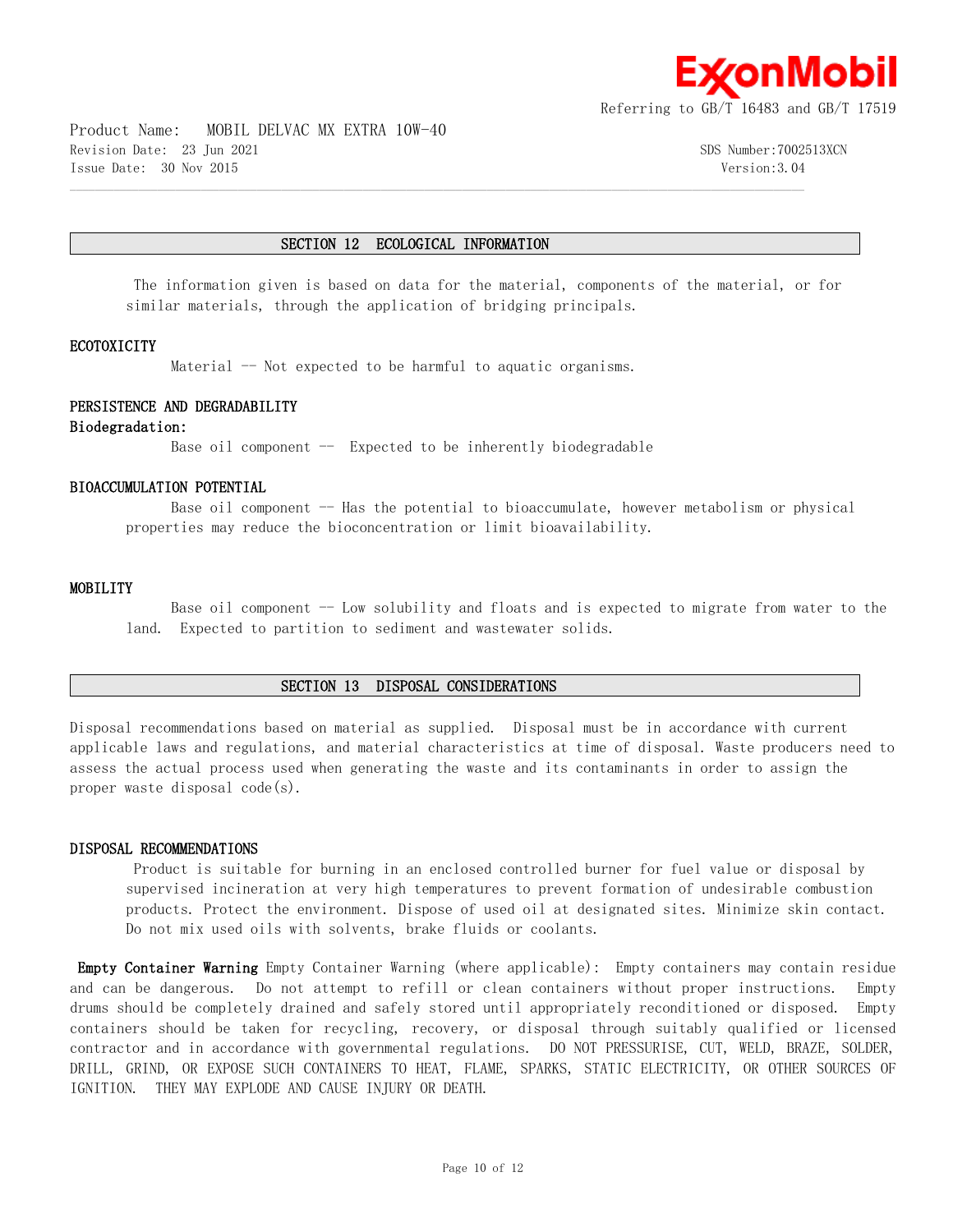

Product Name: MOBIL DELVAC MX EXTRA 10W-40 Revision Date: 23 Jun 2021 SDS Number:7002513XCN Issue Date: 30 Nov 2015 Version:3.04

#### **SECTION 12 ECOLOGICAL INFORMATION**

 $\mathcal{L} = \{ \mathcal{L} = \{ \mathcal{L} = \{ \mathcal{L} = \{ \mathcal{L} = \{ \mathcal{L} = \{ \mathcal{L} = \{ \mathcal{L} = \{ \mathcal{L} = \{ \mathcal{L} = \{ \mathcal{L} = \{ \mathcal{L} = \{ \mathcal{L} = \{ \mathcal{L} = \{ \mathcal{L} = \{ \mathcal{L} = \{ \mathcal{L} = \{ \mathcal{L} = \{ \mathcal{L} = \{ \mathcal{L} = \{ \mathcal{L} = \{ \mathcal{L} = \{ \mathcal{L} = \{ \mathcal{L} = \{ \mathcal{$ 

 The information given is based on data for the material, components of the material, or for similar materials, through the application of bridging principals.

#### **ECOTOXICITY**

Material -- Not expected to be harmful to aquatic organisms.

#### **PERSISTENCE AND DEGRADABILITY**

#### **Biodegradation:**

Base oil component  $-$  Expected to be inherently biodegradable

### **BIOACCUMULATION POTENTIAL**

Base oil component  $-$  Has the potential to bioaccumulate, however metabolism or physical properties may reduce the bioconcentration or limit bioavailability.

#### **MOBILITY**

Base oil component -- Low solubility and floats and is expected to migrate from water to the land. Expected to partition to sediment and wastewater solids.

#### **SECTION 13 DISPOSAL CONSIDERATIONS**

Disposal recommendations based on material as supplied. Disposal must be in accordance with current applicable laws and regulations, and material characteristics at time of disposal. Waste producers need to assess the actual process used when generating the waste and its contaminants in order to assign the proper waste disposal code(s).

#### **DISPOSAL RECOMMENDATIONS**

 Product is suitable for burning in an enclosed controlled burner for fuel value or disposal by supervised incineration at very high temperatures to prevent formation of undesirable combustion products. Protect the environment. Dispose of used oil at designated sites. Minimize skin contact. Do not mix used oils with solvents, brake fluids or coolants.

**Empty Container Warning** Empty Container Warning (where applicable): Empty containers may contain residue and can be dangerous. Do not attempt to refill or clean containers without proper instructions. Empty drums should be completely drained and safely stored until appropriately reconditioned or disposed. Empty containers should be taken for recycling, recovery, or disposal through suitably qualified or licensed contractor and in accordance with governmental regulations. DO NOT PRESSURISE, CUT, WELD, BRAZE, SOLDER, DRILL, GRIND, OR EXPOSE SUCH CONTAINERS TO HEAT, FLAME, SPARKS, STATIC ELECTRICITY, OR OTHER SOURCES OF IGNITION. THEY MAY EXPLODE AND CAUSE INJURY OR DEATH.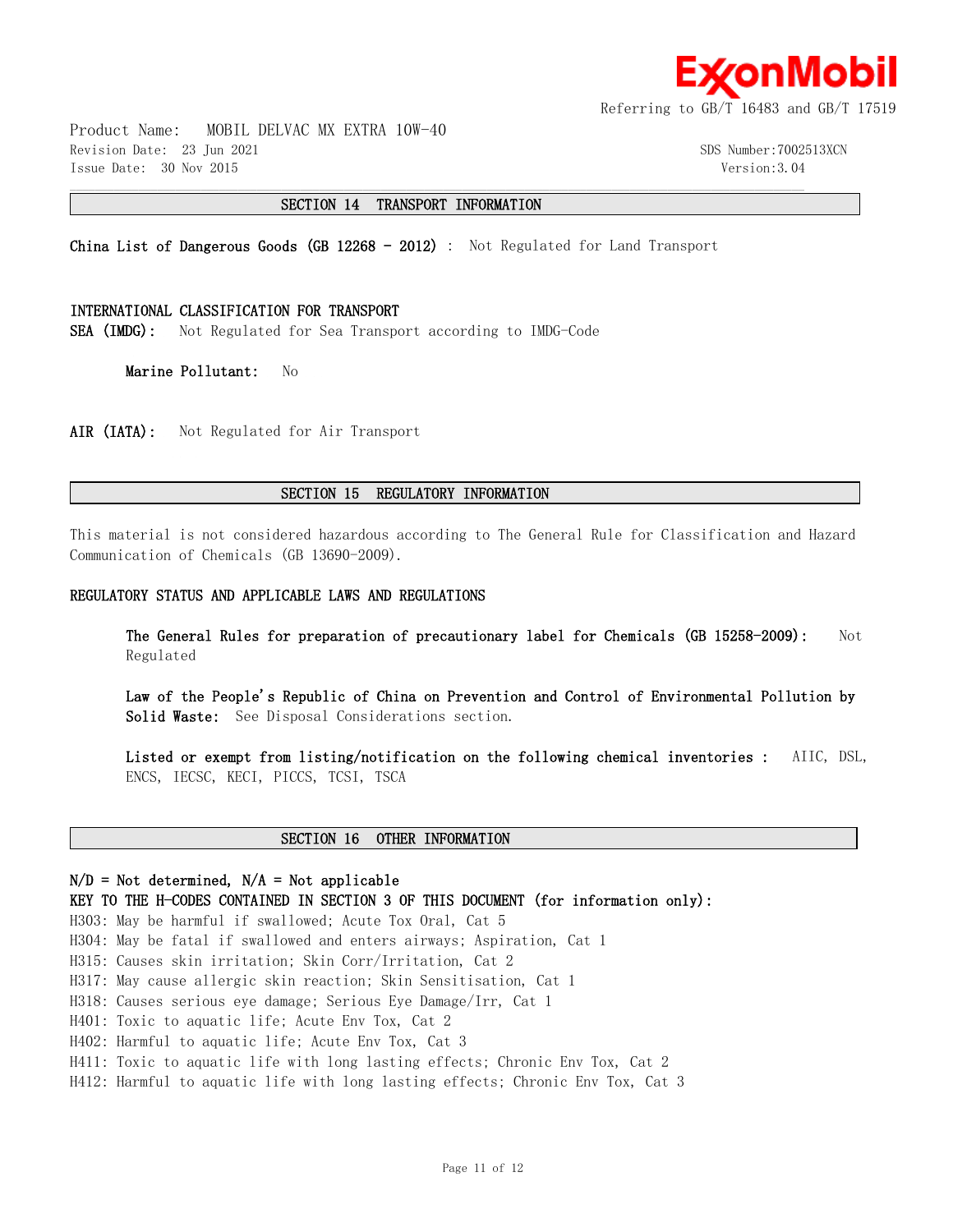

Product Name: MOBIL DELVAC MX EXTRA 10W-40 Revision Date: 23 Jun 2021 SDS Number:7002513XCN Issue Date: 30 Nov 2015 Version:3.04

#### **SECTION 14 TRANSPORT INFORMATION**

 $\mathcal{L} = \{ \mathcal{L} = \{ \mathcal{L} = \{ \mathcal{L} = \{ \mathcal{L} = \{ \mathcal{L} = \{ \mathcal{L} = \{ \mathcal{L} = \{ \mathcal{L} = \{ \mathcal{L} = \{ \mathcal{L} = \{ \mathcal{L} = \{ \mathcal{L} = \{ \mathcal{L} = \{ \mathcal{L} = \{ \mathcal{L} = \{ \mathcal{L} = \{ \mathcal{L} = \{ \mathcal{L} = \{ \mathcal{L} = \{ \mathcal{L} = \{ \mathcal{L} = \{ \mathcal{L} = \{ \mathcal{L} = \{ \mathcal{$ 

**China List of Dangerous Goods (GB 12268 - 2012)** : Not Regulated for Land Transport

#### **INTERNATIONAL CLASSIFICATION FOR TRANSPORT**

**SEA (IMDG):** Not Regulated for Sea Transport according to IMDG-Code

**Marine Pollutant:** No

AIR (IATA): Not Regulated for Air Transport

#### **SECTION 15 REGULATORY INFORMATION**

This material is not considered hazardous according to The General Rule for Classification and Hazard Communication of Chemicals (GB 13690-2009).

#### **REGULATORY STATUS AND APPLICABLE LAWS AND REGULATIONS**

**The General Rules for preparation of precautionary label for Chemicals (GB 15258-2009):** Not Regulated

**Law of the People's Republic of China on Prevention and Control of Environmental Pollution by Solid Waste:** See Disposal Considerations section.

**Listed or exempt from listing/notification on the following chemical inventories :** AIIC, DSL, ENCS, IECSC, KECI, PICCS, TCSI, TSCA

## **SECTION 16 OTHER INFORMATION**

## **N/D = Not determined, N/A = Not applicable**

**KEY TO THE H-CODES CONTAINED IN SECTION 3 OF THIS DOCUMENT (for information only):**

H303: May be harmful if swallowed; Acute Tox Oral, Cat 5

H304: May be fatal if swallowed and enters airways; Aspiration, Cat 1

H315: Causes skin irritation; Skin Corr/Irritation, Cat 2

H317: May cause allergic skin reaction; Skin Sensitisation, Cat 1

H318: Causes serious eye damage; Serious Eye Damage/Irr, Cat 1

H401: Toxic to aquatic life; Acute Env Tox, Cat 2

H402: Harmful to aquatic life; Acute Env Tox, Cat 3

H411: Toxic to aquatic life with long lasting effects; Chronic Env Tox, Cat 2

H412: Harmful to aquatic life with long lasting effects; Chronic Env Tox, Cat 3